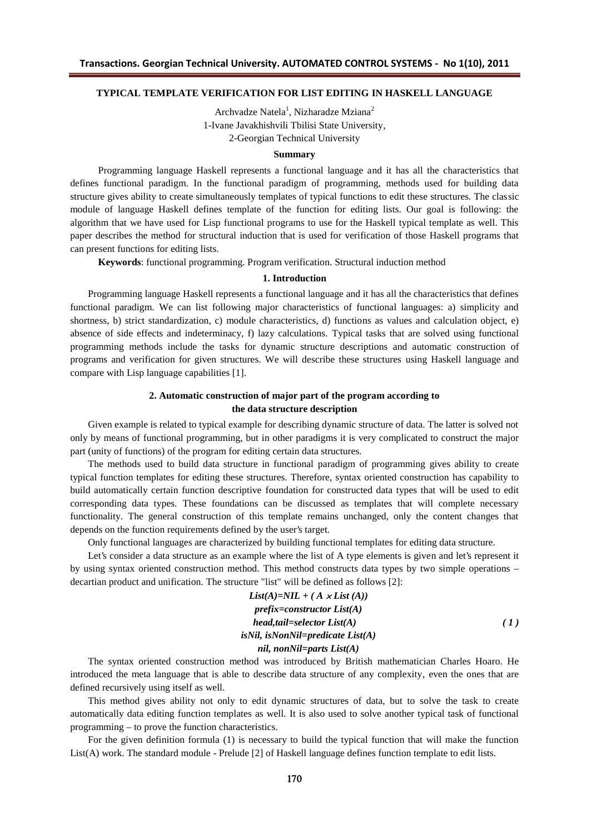### **TYPICAL TEMPLATE VERIFICATION FOR LIST EDITING IN HASKELL LANGUAGE**

Archvadze Natela<sup>1</sup>, Nizharadze Mziana<sup>2</sup> 1-Ivane Javakhishvili Tbilisi State University, 2-Georgian Technical University

#### **Summary**

Programming language Haskell represents a functional language and it has all the characteristics that defines functional paradigm. In the functional paradigm of programming, methods used for building data structure gives ability to create simultaneously templates of typical functions to edit these structures. The classic module of language Haskell defines template of the function for editing lists. Our goal is following: the algorithm that we have used for Lisp functional programs to use for the Haskell typical template as well. This paper describes the method for structural induction that is used for verification of those Haskell programs that can present functions for editing lists.

**Keywords**: functional programming. Program verification. Structural induction method

#### **1. Introduction**

Programming language Haskell represents a functional language and it has all the characteristics that defines functional paradigm. We can list following major characteristics of functional languages: a) simplicity and shortness, b) strict standardization, c) module characteristics, d) functions as values and calculation object, e) absence of side effects and indeterminacy, f) lazy calculations. Typical tasks that are solved using functional programming methods include the tasks for dynamic structure descriptions and automatic construction of programs and verification for given structures. We will describe these structures using Haskell language and compare with Lisp language capabilities [1].

## **2. Automatic construction of major part of the program according to the data structure description**

Given example is related to typical example for describing dynamic structure of data. The latter is solved not only by means of functional programming, but in other paradigms it is very complicated to construct the major part (unity of functions) of the program for editing certain data structures.

The methods used to build data structure in functional paradigm of programming gives ability to create typical function templates for editing these structures. Therefore, syntax oriented construction has capability to build automatically certain function descriptive foundation for constructed data types that will be used to edit corresponding data types. These foundations can be discussed as templates that will complete necessary functionality. The general construction of this template remains unchanged, only the content changes that depends on the function requirements defined by the user's target.

Only functional languages are characterized by building functional templates for editing data structure.

Let's consider a data structure as an example where the list of A type elements is given and let's represent it by using syntax oriented construction method. This method constructs data types by two simple operations – decartian product and unification. The structure "list" will be defined as follows [2]:

$$
List(A)=NIL + (A \times List(A))
$$
  
prefix=constructor List(A)  
head,tail=selector List(A)  
isNil, isNonNil=predictate List(A)  
nil, nonNil=parts List(A) (1)

The syntax oriented construction method was introduced by British mathematician Charles Hoaro. He introduced the meta language that is able to describe data structure of any complexity, even the ones that are defined recursively using itself as well.

This method gives ability not only to edit dynamic structures of data, but to solve the task to create automatically data editing function templates as well. It is also used to solve another typical task of functional programming – to prove the function characteristics.

For the given definition formula (1) is necessary to build the typical function that will make the function List(A) work. The standard module - Prelude [2] of Haskell language defines function template to edit lists.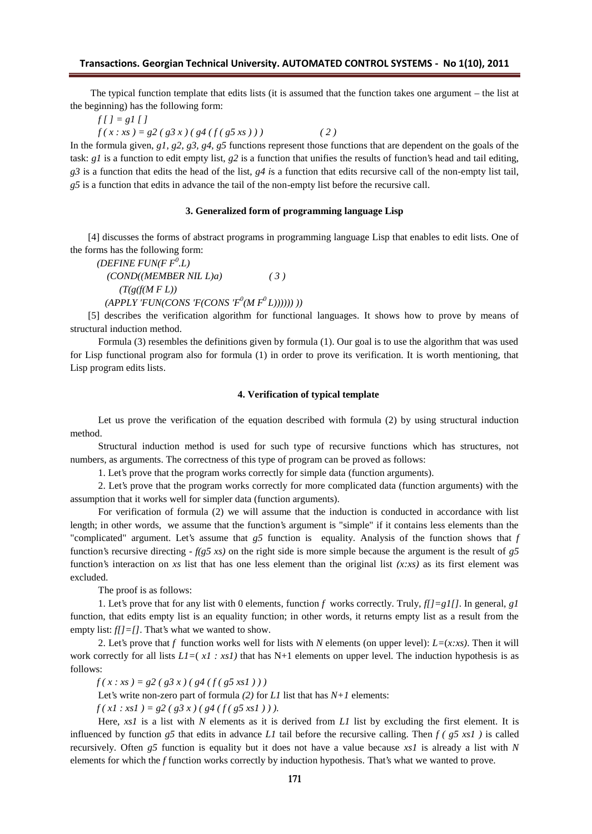The typical function template that edits lists (it is assumed that the function takes one argument – the list at the beginning) has the following form:

 $f[$   $] = g[$   $]$   $]$ 

 $f(x: xs) = g2(g3x)(g4(f(g5xs)))$  (2)

In the formula given, *g1, g2, g3, g4, g5* functions represent those functions that are dependent on the goals of the task: *g1* is a function to edit empty list, *g2* is a function that unifies the results of function's head and tail editing, *g3* is a function that edits the head of the list, *g4 i*s a function that edits recursive call of the non-empty list tail, *g5* is a function that edits in advance the tail of the non-empty list before the recursive call.

#### **3. Generalized form of programming language Lisp**

[4] discusses the forms of abstract programs in programming language Lisp that enables to edit lists. One of the forms has the following form:

*(DEFINE FUN(F F<sup>0</sup> .L) (COND((MEMBER NIL L)a) ( 3 ) (T(g(f(M F L))*  $(APPLY'FUN(CONS'F(CONS'F^0(MF^0L)))))$  ))

[5] describes the verification algorithm for functional languages. It shows how to prove by means of structural induction method.

Formula (3) resembles the definitions given by formula (1). Our goal is to use the algorithm that was used for Lisp functional program also for formula (1) in order to prove its verification. It is worth mentioning, that Lisp program edits lists.

#### **4. Verification of typical template**

Let us prove the verification of the equation described with formula (2) by using structural induction method.

Structural induction method is used for such type of recursive functions which has structures, not numbers, as arguments. The correctness of this type of program can be proved as follows:

1. Let's prove that the program works correctly for simple data (function arguments).

2. Let's prove that the program works correctly for more complicated data (function arguments) with the assumption that it works well for simpler data (function arguments).

For verification of formula (2) we will assume that the induction is conducted in accordance with list length; in other words, we assume that the function's argument is "simple" if it contains less elements than the "complicated" argument. Let's assume that *g5* function is equality. Analysis of the function shows that *f* function's recursive directing - *f(g5 xs)* on the right side is more simple because the argument is the result of *g5* function's interaction on *xs* list that has one less element than the original list *(x:xs)* as its first element was excluded.

The proof is as follows:

1. Let's prove that for any list with 0 elements, function *f* works correctly. Truly, *f[]=g1[]*. In general, *g1* function, that edits empty list is an equality function; in other words, it returns empty list as a result from the empty list:  $f/J=$ []. That's what we wanted to show.

2. Let's prove that *f* function works well for lists with *N* elements (on upper level): *L=*(*x:xs)*. Then it will work correctly for all lists  $L1 = (x1 : xs1)$  that has N+1 elements on upper level. The induction hypothesis is as follows:

 $f(x: xs) = g2(g3x)(g4(f(g5xs1)))$ 

Let's write non-zero part of formula  $(2)$  for *L1* list that has  $N+1$  elements:

 $f(x1: xs1) = g2(g3x)(g4(f(g5xs1))).$ 

Here, *xs1* is a list with *N* elements as it is derived from *L1* list by excluding the first element. It is influenced by function  $g5$  that edits in advance *L1* tail before the recursive calling. Then  $f(g5 xsl)$  is called recursively. Often *g5* function is equality but it does not have a value because *xs1* is already a list with *N* elements for which the *f* function works correctly by induction hypothesis. That's what we wanted to prove.